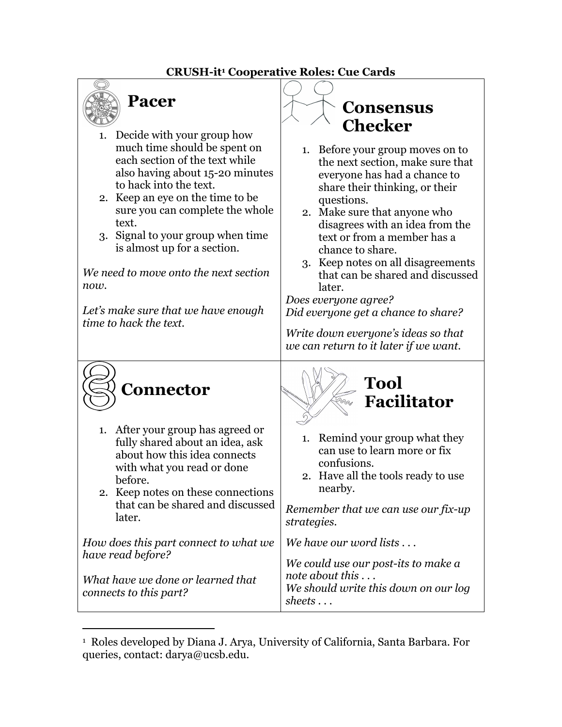## **CRUSH-it1 Cooperative Roles: Cue Cards**



## 1. Decide with your group how much time should be spent on each section of the text while also having about 15-20 minutes to hack into the text.

- 2. Keep an eye on the time to be sure you can complete the whole text.
- 3. Signal to your group when time is almost up for a section.

*We need to move onto the next section now.*

*Let's make sure that we have enough time to hack the text.*

## **Consensus Checker**

- 1. Before your group moves on to the next section, make sure that everyone has had a chance to share their thinking, or their questions.
- 2. Make sure that anyone who disagrees with an idea from the text or from a member has a chance to share.
- 3. Keep notes on all disagreements that can be shared and discussed later.

*Does everyone agree? Did everyone get a chance to share?*

*Write down everyone's ideas so that we can return to it later if we want.*



- 1. After your group has agreed or fully shared about an idea, ask about how this idea connects with what you read or done before.
- 2. Keep notes on these connections that can be shared and discussed later.

*How does this part connect to what we have read before?*

*What have we done or learned that connects to this part?*



- 1. Remind your group what they can use to learn more or fix confusions.
- 2. Have all the tools ready to use nearby.

*Remember that we can use our fix-up strategies.*

*We have our word lists . . .* 

*We could use our post-its to make a note about this . . . We should write this down on our log sheets . . .*

<sup>1</sup> Roles developed by Diana J. Arya, University of California, Santa Barbara. For queries, contact: darya@ucsb.edu.